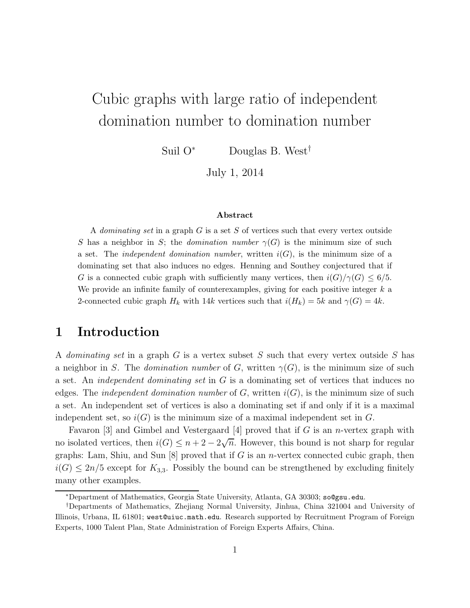# Cubic graphs with large ratio of independent domination number to domination number

Suil O<sup>∗</sup> Douglas B. West†

July 1, 2014

#### Abstract

A dominating set in a graph  $G$  is a set  $S$  of vertices such that every vertex outside S has a neighbor in S; the *domination number*  $\gamma(G)$  is the minimum size of such a set. The *independent domination number*, written  $i(G)$ , is the minimum size of a dominating set that also induces no edges. Henning and Southey conjectured that if G is a connected cubic graph with sufficiently many vertices, then  $i(G)/\gamma(G) \leq 6/5$ . We provide an infinite family of counterexamples, giving for each positive integer  $k$  a 2-connected cubic graph  $H_k$  with 14k vertices such that  $i(H_k) = 5k$  and  $\gamma(G) = 4k$ .

# 1 Introduction

A dominating set in a graph G is a vertex subset S such that every vertex outside S has a neighbor in S. The domination number of G, written  $\gamma(G)$ , is the minimum size of such a set. An *independent dominating set* in  $G$  is a dominating set of vertices that induces no edges. The *independent domination number* of G, written  $i(G)$ , is the minimum size of such a set. An independent set of vertices is also a dominating set if and only if it is a maximal independent set, so  $i(G)$  is the minimum size of a maximal independent set in G.

Favaron [3] and Gimbel and Vestergaard [4] proved that if G is an *n*-vertex graph with no isolated vertices, then  $i(G) \leq n+2-2\sqrt{n}$ . However, this bound is not sharp for regular graphs: Lam, Shiu, and Sun  $[8]$  proved that if G is an *n*-vertex connected cubic graph, then  $i(G) \leq 2n/5$  except for  $K_{3,3}$ . Possibly the bound can be strengthened by excluding finitely many other examples.

<sup>∗</sup>Department of Mathematics, Georgia State University, Atlanta, GA 30303; so@gsu.edu.

<sup>†</sup>Departments of Mathematics, Zhejiang Normal University, Jinhua, China 321004 and University of Illinois, Urbana, IL 61801; west@uiuc.math.edu. Research supported by Recruitment Program of Foreign Experts, 1000 Talent Plan, State Administration of Foreign Experts Affairs, China.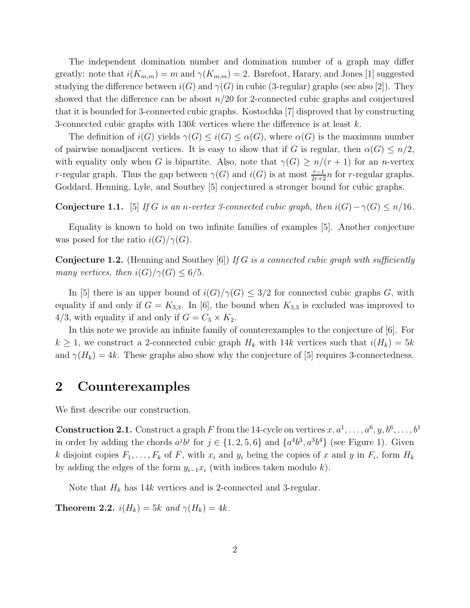The independent domination number and domination number of a graph may differ greatly: note that  $i(K_{m,m}) = m$  and  $\gamma(K_{m,m}) = 2$ . Barefoot, Harary, and Jones [1] suggested studying the difference between  $i(G)$  and  $\gamma(G)$  in cubic (3-regular) graphs (see also [2]). They showed that the difference can be about  $n/20$  for 2-connected cubic graphs and conjectured that it is bounded for 3-connected cubic graphs. Kostochka [7] disproved that by constructing 3-connected cubic graphs with  $130k$  vertices where the difference is at least k.

The definition of  $i(G)$  yields  $\gamma(G) \leq i(G) \leq \alpha(G)$ , where  $\alpha(G)$  is the maximum number of pairwise nonadjacent vertices. It is easy to show that if G is regular, then  $\alpha(G) \leq n/2$ , with equality only when G is bipartite. Also, note that  $\gamma(G) \geq n/(r+1)$  for an n-vertex r-regular graph. Thus the gap between  $\gamma(G)$  and  $i(G)$  is at most  $\frac{r-1}{2r+2}n$  for r-regular graphs. Goddard, Henning, Lyle, and Southey [5] conjectured a stronger bound for cubic graphs.

**Conjecture 1.1.** [5] If G is an n-vertex 3-connected cubic graph, then  $i(G) - \gamma(G) \leq n/16$ .

Equality is known to hold on two infinite families of examples [5]. Another conjecture was posed for the ratio  $i(G)/\gamma(G)$ .

**Conjecture 1.2.** (Henning and Southey [6]) If G is a connected cubic graph with sufficiently many vertices, then  $i(G)/\gamma(G) \leq 6/5$ .

In [5] there is an upper bound of  $i(G)/\gamma(G) \leq 3/2$  for connected cubic graphs G, with equality if and only if  $G = K_{3,3}$ . In [6], the bound when  $K_{3,3}$  is excluded was improved to 4/3, with equality if and only if  $G = C_5 \times K_2$ .

In this note we provide an infinite family of counterexamples to the conjecture of [6]. For  $k \geq 1$ , we construct a 2-connected cubic graph  $H_k$  with 14k vertices such that  $i(H_k) = 5k$ and  $\gamma(H_k) = 4k$ . These graphs also show why the conjecture of [5] requires 3-connectedness.

### 2 Counterexamples

We first describe our construction.

**Construction 2.1.** Construct a graph F from the 14-cycle on vertices  $x, a^1, \ldots, a^6, y, b^6, \ldots, b^1$ in order by adding the chords  $a^j b^j$  for  $j \in \{1, 2, 5, 6\}$  and  $\{a^4 b^3, a^3 b^4\}$  (see Figure 1). Given k disjoint copies  $F_1, \ldots, F_k$  of F, with  $x_i$  and  $y_i$  being the copies of x and y in  $F_i$ , form  $H_k$ by adding the edges of the form  $y_{i-1}x_i$  (with indices taken modulo k).

Note that  $H_k$  has 14k vertices and is 2-connected and 3-regular.

**Theorem 2.2.**  $i(H_k) = 5k$  and  $\gamma(H_k) = 4k$ .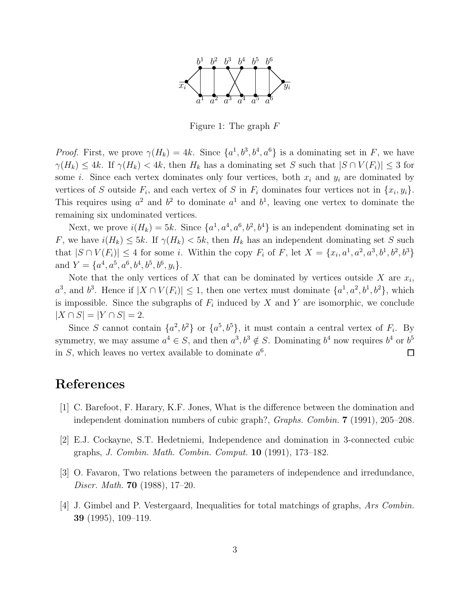

Figure 1: The graph  $F$ 

*Proof.* First, we prove  $\gamma(H_k) = 4k$ . Since  $\{a^1, b^3, b^4, a^6\}$  is a dominating set in F, we have  $\gamma(H_k) \leq 4k$ . If  $\gamma(H_k) < 4k$ , then  $H_k$  has a dominating set S such that  $|S \cap V(F_i)| \leq 3$  for some *i*. Since each vertex dominates only four vertices, both  $x_i$  and  $y_i$  are dominated by vertices of S outside  $F_i$ , and each vertex of S in  $F_i$  dominates four vertices not in  $\{x_i, y_i\}$ . This requires using  $a^2$  and  $b^2$  to dominate  $a^1$  and  $b^1$ , leaving one vertex to dominate the remaining six undominated vertices.

Next, we prove  $i(H_k) = 5k$ . Since  $\{a^1, a^4, a^6, b^2, b^4\}$  is an independent dominating set in F, we have  $i(H_k) \leq 5k$ . If  $\gamma(H_k) < 5k$ , then  $H_k$  has an independent dominating set S such that  $|S \cap V(F_i)| \leq 4$  for some *i*. Within the copy  $F_i$  of  $F$ , let  $X = \{x_i, a^1, a^2, a^3, b^1, b^2, b^3\}$ and  $Y = \{a^4, a^5, a^6, b^4, b^5, b^6, y_i\}.$ 

Note that the only vertices of X that can be dominated by vertices outside X are  $x_i$ ,  $a^3$ , and  $b^3$ . Hence if  $|X \cap V(F_i)| \leq 1$ , then one vertex must dominate  $\{a^1, a^2, b^1, b^2\}$ , which is impossible. Since the subgraphs of  $F_i$  induced by X and Y are isomorphic, we conclude  $|X \cap S| = |Y \cap S| = 2.$ 

Since S cannot contain  $\{a^2, b^2\}$  or  $\{a^5, b^5\}$ , it must contain a central vertex of  $F_i$ . By symmetry, we may assume  $a^4 \in S$ , and then  $a^3, b^3 \notin S$ . Dominating  $b^4$  now requires  $b^4$  or  $b^5$ in S, which leaves no vertex available to dominate  $a^6$ .  $\Box$ 

## References

- [1] C. Barefoot, F. Harary, K.F. Jones, What is the difference between the domination and independent domination numbers of cubic graph?, Graphs. Combin. 7 (1991), 205–208.
- [2] E.J. Cockayne, S.T. Hedetniemi, Independence and domination in 3-connected cubic graphs, J. Combin. Math. Combin. Comput. 10 (1991), 173–182.
- [3] O. Favaron, Two relations between the parameters of independence and irredundance, Discr. Math. 70 (1988), 17–20.
- [4] J. Gimbel and P. Vestergaard, Inequalities for total matchings of graphs, Ars Combin. 39 (1995), 109–119.